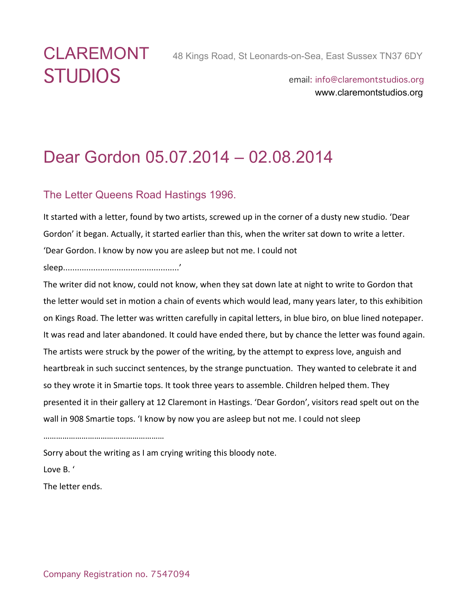# STUDIOS email: info@claremontstudios.org

www.claremontstudios.org

## Dear Gordon 05.07.2014 – 02.08.2014

#### The Letter Queens Road Hastings 1996.

It started with a letter, found by two artists, screwed up in the corner of a dusty new studio. 'Dear Gordon' it began. Actually, it started earlier than this, when the writer sat down to write a letter. 'Dear Gordon. I know by now you are asleep but not me. I could not

sleep..................................................'

The writer did not know, could not know, when they sat down late at night to write to Gordon that the letter would set in motion a chain of events which would lead, many years later, to this exhibition on Kings Road. The letter was written carefully in capital letters, in blue biro, on blue lined notepaper. It was read and later abandoned. It could have ended there, but by chance the letter was found again. The artists were struck by the power of the writing, by the attempt to express love, anguish and heartbreak in such succinct sentences, by the strange punctuation. They wanted to celebrate it and so they wrote it in Smartie tops. It took three years to assemble. Children helped them. They presented it in their gallery at 12 Claremont in Hastings. 'Dear Gordon', visitors read spelt out on the wall in 908 Smartie tops. 'I know by now you are asleep but not me. I could not sleep

…………………………………………………

Sorry about the writing as I am crying writing this bloody note.

Love B. '

The letter ends.